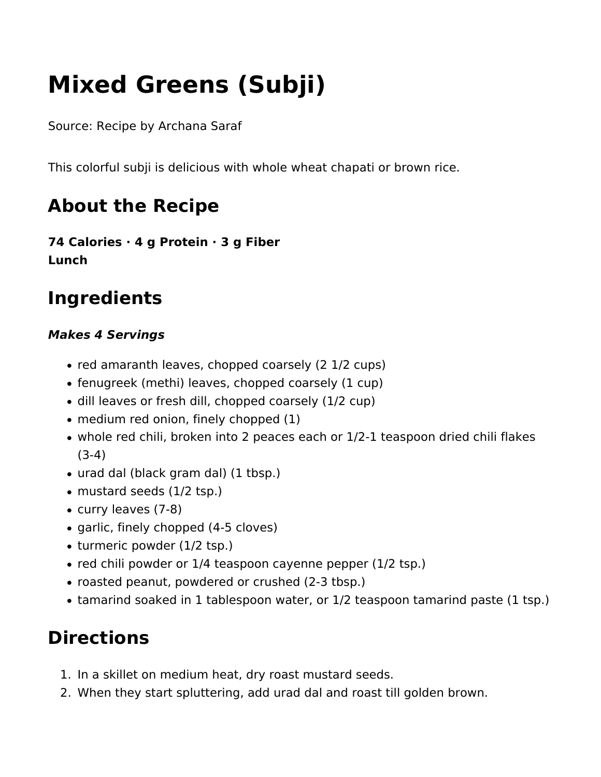# **Mixed Greens (Subji)**

Source: Recipe by Archana Saraf

This colorful subji is delicious with whole wheat chapati or brown rice.

## **About the Recipe**

**74 Calories · 4 g Protein · 3 g Fiber Lunch** 

### **Ingredients**

#### *Makes 4 Servings*

- red amaranth leaves, chopped coarsely (2 1/2 cups)
- fenugreek (methi) leaves, chopped coarsely (1 cup)
- dill leaves or fresh dill, chopped coarsely (1/2 cup)
- medium red onion, finely chopped (1)
- whole red chili, broken into 2 peaces each or 1/2-1 teaspoon dried chili flakes (3-4)
- urad dal (black gram dal) (1 tbsp.)
- mustard seeds (1/2 tsp.)
- curry leaves (7-8)
- garlic, finely chopped (4-5 cloves)
- turmeric powder (1/2 tsp.)
- red chili powder or 1/4 teaspoon cayenne pepper (1/2 tsp.)
- roasted peanut, powdered or crushed (2-3 tbsp.)
- tamarind soaked in 1 tablespoon water, or 1/2 teaspoon tamarind paste (1 tsp.)

### **Directions**

- 1. In a skillet on medium heat, dry roast mustard seeds.
- 2. When they start spluttering, add urad dal and roast till golden brown.